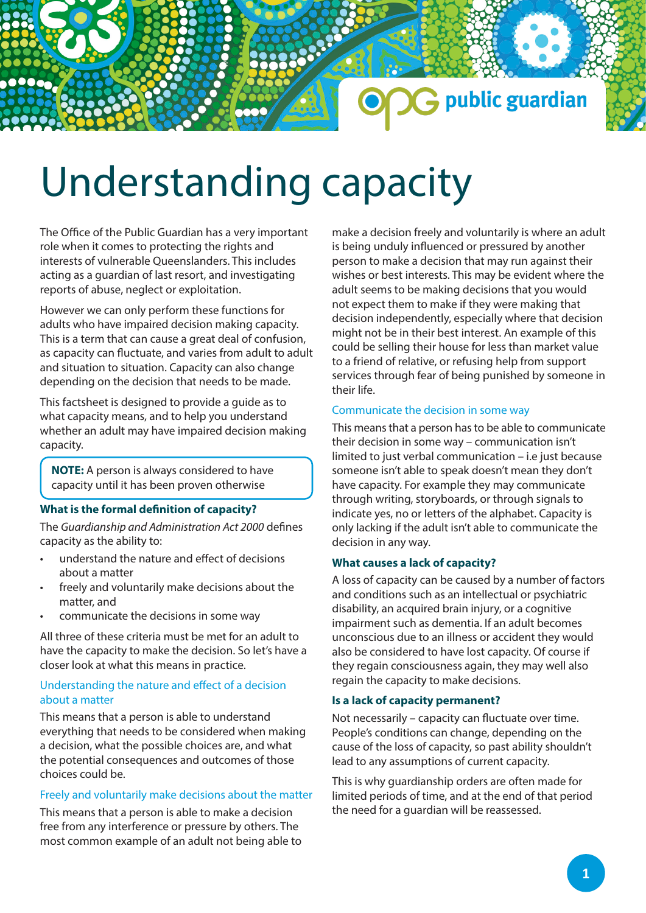## public guardian

# Understanding capacity

The Office of the Public Guardian has a very important role when it comes to protecting the rights and interests of vulnerable Queenslanders. This includes acting as a guardian of last resort, and investigating reports of abuse, neglect or exploitation.

However we can only perform these functions for adults who have impaired decision making capacity. This is a term that can cause a great deal of confusion, as capacity can fluctuate, and varies from adult to adult and situation to situation. Capacity can also change depending on the decision that needs to be made.

This factsheet is designed to provide a guide as to what capacity means, and to help you understand whether an adult may have impaired decision making capacity.

**NOTE:** A person is always considered to have capacity until it has been proven otherwise

#### **What is the formal definition of capacity?**

The *Guardianship and Administration Act 2000* defines capacity as the ability to:

- understand the nature and effect of decisions about a matter
- freely and voluntarily make decisions about the matter, and
- communicate the decisions in some way

All three of these criteria must be met for an adult to have the capacity to make the decision. So let's have a closer look at what this means in practice.

#### Understanding the nature and effect of a decision about a matter

This means that a person is able to understand everything that needs to be considered when making a decision, what the possible choices are, and what the potential consequences and outcomes of those choices could be.

#### Freely and voluntarily make decisions about the matter

This means that a person is able to make a decision free from any interference or pressure by others. The most common example of an adult not being able to make a decision freely and voluntarily is where an adult is being unduly influenced or pressured by another person to make a decision that may run against their wishes or best interests. This may be evident where the adult seems to be making decisions that you would not expect them to make if they were making that decision independently, especially where that decision might not be in their best interest. An example of this could be selling their house for less than market value to a friend of relative, or refusing help from support services through fear of being punished by someone in their life.

#### Communicate the decision in some way

This means that a person has to be able to communicate their decision in some way – communication isn't limited to just verbal communication – i.e just because someone isn't able to speak doesn't mean they don't have capacity. For example they may communicate through writing, storyboards, or through signals to indicate yes, no or letters of the alphabet. Capacity is only lacking if the adult isn't able to communicate the decision in any way.

#### **What causes a lack of capacity?**

A loss of capacity can be caused by a number of factors and conditions such as an intellectual or psychiatric disability, an acquired brain injury, or a cognitive impairment such as dementia. If an adult becomes unconscious due to an illness or accident they would also be considered to have lost capacity. Of course if they regain consciousness again, they may well also regain the capacity to make decisions.

#### **Is a lack of capacity permanent?**

Not necessarily – capacity can fluctuate over time. People's conditions can change, depending on the cause of the loss of capacity, so past ability shouldn't lead to any assumptions of current capacity.

This is why guardianship orders are often made for limited periods of time, and at the end of that period the need for a guardian will be reassessed.